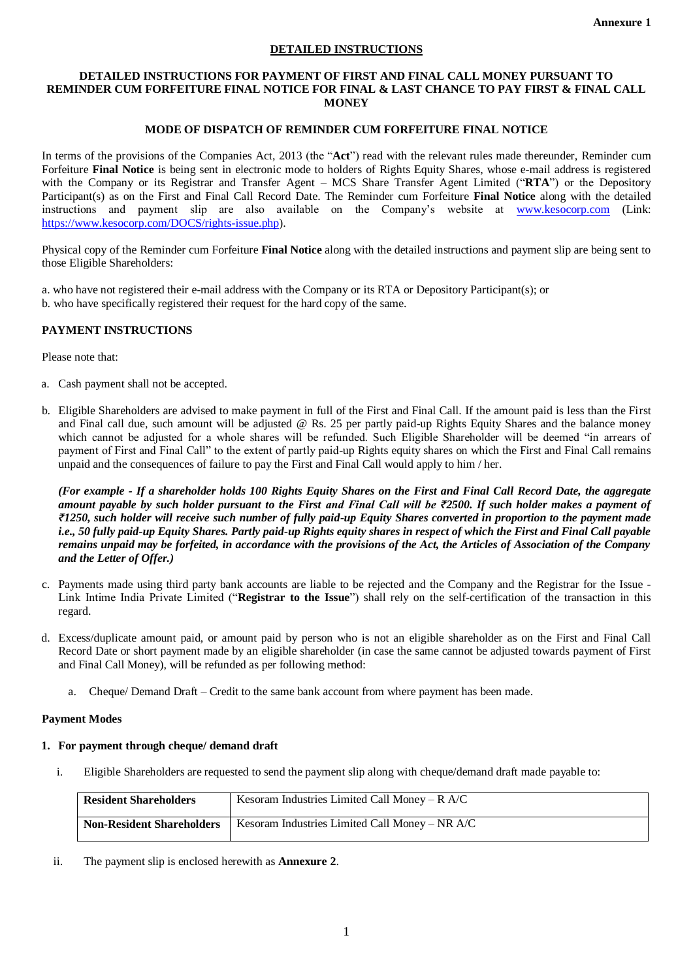### **DETAILED INSTRUCTIONS**

#### **DETAILED INSTRUCTIONS FOR PAYMENT OF FIRST AND FINAL CALL MONEY PURSUANT TO REMINDER CUM FORFEITURE FINAL NOTICE FOR FINAL & LAST CHANCE TO PAY FIRST & FINAL CALL MONEY**

## **MODE OF DISPATCH OF REMINDER CUM FORFEITURE FINAL NOTICE**

In terms of the provisions of the Companies Act, 2013 (the "**Act**") read with the relevant rules made thereunder, Reminder cum Forfeiture **Final Notice** is being sent in electronic mode to holders of Rights Equity Shares, whose e-mail address is registered with the Company or its Registrar and Transfer Agent – MCS Share Transfer Agent Limited ("**RTA**") or the Depository Participant(s) as on the First and Final Call Record Date. The Reminder cum Forfeiture **Final Notice** along with the detailed instructions and payment slip are also available on the Company's website at [www.kesocorp.com](http://www.kesocorp.com/) (Link: [https://www.kesocorp.com/DOCS/rights-issue.php\)](https://www.kesocorp.com/DOCS/rights-issue.php).

Physical copy of the Reminder cum Forfeiture **Final Notice** along with the detailed instructions and payment slip are being sent to those Eligible Shareholders:

a. who have not registered their e-mail address with the Company or its RTA or Depository Participant(s); or b. who have specifically registered their request for the hard copy of the same.

## **PAYMENT INSTRUCTIONS**

Please note that:

- a. Cash payment shall not be accepted.
- b. Eligible Shareholders are advised to make payment in full of the First and Final Call. If the amount paid is less than the First and Final call due, such amount will be adjusted @ Rs. 25 per partly paid-up Rights Equity Shares and the balance money which cannot be adjusted for a whole shares will be refunded. Such Eligible Shareholder will be deemed "in arrears of payment of First and Final Call" to the extent of partly paid-up Rights equity shares on which the First and Final Call remains unpaid and the consequences of failure to pay the First and Final Call would apply to him / her.

*(For example - If a shareholder holds 100 Rights Equity Shares on the First and Final Call Record Date, the aggregate amount payable by such holder pursuant to the First and Final Call will be ₹2500. If such holder makes a payment of ₹1250, such holder will receive such number of fully paid-up Equity Shares converted in proportion to the payment made i.e., 50 fully paid-up Equity Shares. Partly paid-up Rights equity shares in respect of which the First and Final Call payable remains unpaid may be forfeited, in accordance with the provisions of the Act, the Articles of Association of the Company and the Letter of Offer.)*

- c. Payments made using third party bank accounts are liable to be rejected and the Company and the Registrar for the Issue Link Intime India Private Limited ("**Registrar to the Issue**") shall rely on the self-certification of the transaction in this regard.
- d. Excess/duplicate amount paid, or amount paid by person who is not an eligible shareholder as on the First and Final Call Record Date or short payment made by an eligible shareholder (in case the same cannot be adjusted towards payment of First and Final Call Money), will be refunded as per following method:
	- a. Cheque/ Demand Draft Credit to the same bank account from where payment has been made.

### **Payment Modes**

### **1. For payment through cheque/ demand draft**

i. Eligible Shareholders are requested to send the payment slip along with cheque/demand draft made payable to:

| <b>Resident Shareholders</b>     | Kesoram Industries Limited Call Money – $R$ A/C |
|----------------------------------|-------------------------------------------------|
| <b>Non-Resident Shareholders</b> | Kesoram Industries Limited Call Money – NR A/C  |

ii. The payment slip is enclosed herewith as **Annexure 2**.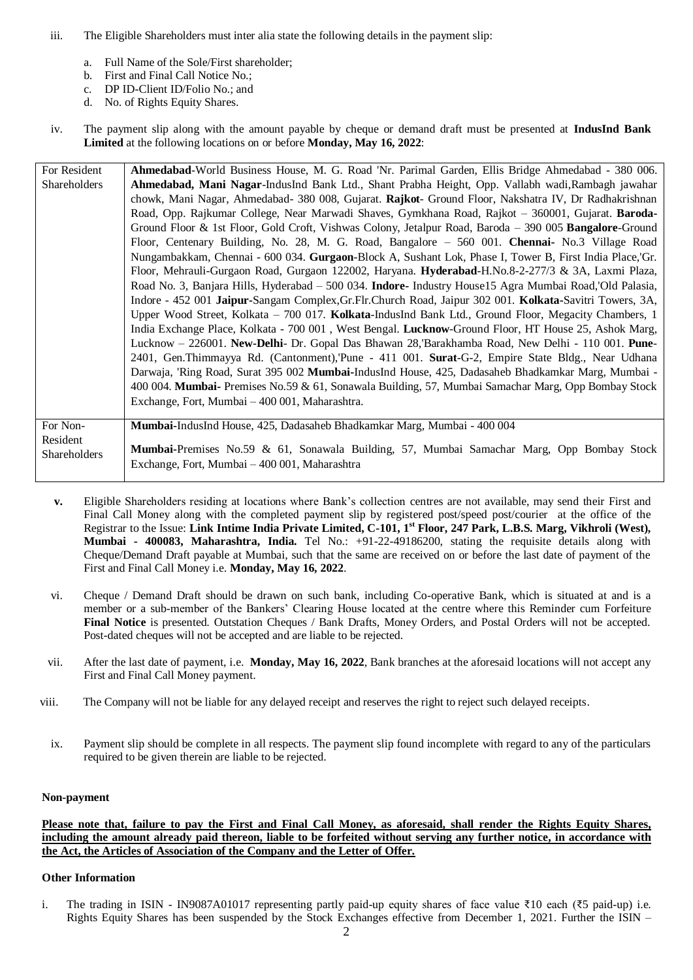- iii. The Eligible Shareholders must inter alia state the following details in the payment slip:
	- a. Full Name of the Sole/First shareholder;
	- b. First and Final Call Notice No.;
	- c. DP ID-Client ID/Folio No.; and
	- d. No. of Rights Equity Shares.
- iv. The payment slip along with the amount payable by cheque or demand draft must be presented at **IndusInd Bank Limited** at the following locations on or before **Monday, May 16, 2022**:

| For Resident | Ahmedabad-World Business House, M. G. Road 'Nr. Parimal Garden, Ellis Bridge Ahmedabad - 380 006.         |
|--------------|-----------------------------------------------------------------------------------------------------------|
| Shareholders | Ahmedabad, Mani Nagar-IndusInd Bank Ltd., Shant Prabha Height, Opp. Vallabh wadi, Rambagh jawahar         |
|              | chowk, Mani Nagar, Ahmedabad- 380 008, Gujarat. Rajkot- Ground Floor, Nakshatra IV, Dr Radhakrishnan      |
|              | Road, Opp. Rajkumar College, Near Marwadi Shaves, Gymkhana Road, Rajkot - 360001, Gujarat. Baroda-        |
|              | Ground Floor & 1st Floor, Gold Croft, Vishwas Colony, Jetalpur Road, Baroda - 390 005 Bangalore-Ground    |
|              | Floor, Centenary Building, No. 28, M. G. Road, Bangalore - 560 001. Chennai- No.3 Village Road            |
|              | Nungambakkam, Chennai - 600 034. Gurgaon-Block A, Sushant Lok, Phase I, Tower B, First India Place, Gr.   |
|              | Floor, Mehrauli-Gurgaon Road, Gurgaon 122002, Haryana. Hyderabad-H.No.8-2-277/3 & 3A, Laxmi Plaza,        |
|              | Road No. 3, Banjara Hills, Hyderabad - 500 034. Indore- Industry House15 Agra Mumbai Road, Old Palasia,   |
|              | Indore - 452 001 Jaipur-Sangam Complex, Gr. Flr. Church Road, Jaipur 302 001. Kolkata-Savitri Towers, 3A, |
|              | Upper Wood Street, Kolkata - 700 017. Kolkata-IndusInd Bank Ltd., Ground Floor, Megacity Chambers, 1      |
|              | India Exchange Place, Kolkata - 700 001, West Bengal. Lucknow-Ground Floor, HT House 25, Ashok Marg,      |
|              | Lucknow - 226001. New-Delhi- Dr. Gopal Das Bhawan 28, Barakhamba Road, New Delhi - 110 001. Pune-         |
|              | 2401, Gen.Thimmayya Rd. (Cantonment), Pune - 411 001. Surat-G-2, Empire State Bldg., Near Udhana          |
|              | Darwaja, 'Ring Road, Surat 395 002 Mumbai-IndusInd House, 425, Dadasaheb Bhadkamkar Marg, Mumbai -        |
|              | 400 004. Mumbai- Premises No.59 & 61, Sonawala Building, 57, Mumbai Samachar Marg, Opp Bombay Stock       |
|              | Exchange, Fort, Mumbai – 400 001, Maharashtra.                                                            |
|              |                                                                                                           |
| For Non-     | Mumbai-IndusInd House, 425, Dadasaheb Bhadkamkar Marg, Mumbai - 400 004                                   |
| Resident     | Mumbai-Premises No.59 & 61, Sonawala Building, 57, Mumbai Samachar Marg, Opp Bombay Stock                 |
| Shareholders | Exchange, Fort, Mumbai - 400 001, Maharashtra                                                             |

- **v.** Eligible Shareholders residing at locations where Bank's collection centres are not available, may send their First and Final Call Money along with the completed payment slip by registered post/speed post/courier at the office of the Registrar to the Issue: **Link Intime India Private Limited, C-101, 1st Floor, 247 Park, L.B.S. Marg, Vikhroli (West), Mumbai - 400083, Maharashtra, India.** Tel No.: +91-22-49186200, stating the requisite details along with Cheque/Demand Draft payable at Mumbai, such that the same are received on or before the last date of payment of the First and Final Call Money i.e. **Monday, May 16, 2022**.
- vi. Cheque / Demand Draft should be drawn on such bank, including Co-operative Bank, which is situated at and is a member or a sub-member of the Bankers' Clearing House located at the centre where this Reminder cum Forfeiture **Final Notice** is presented. Outstation Cheques / Bank Drafts, Money Orders, and Postal Orders will not be accepted. Post-dated cheques will not be accepted and are liable to be rejected.
- vii. After the last date of payment, i.e. **Monday, May 16, 2022**, Bank branches at the aforesaid locations will not accept any First and Final Call Money payment.
- viii. The Company will not be liable for any delayed receipt and reserves the right to reject such delayed receipts.
	- ix. Payment slip should be complete in all respects. The payment slip found incomplete with regard to any of the particulars required to be given therein are liable to be rejected.

# **Non-payment**

**Please note that, failure to pay the First and Final Call Money, as aforesaid, shall render the Rights Equity Shares, including the amount already paid thereon, liable to be forfeited without serving any further notice, in accordance with the Act, the Articles of Association of the Company and the Letter of Offer.**

### **Other Information**

i. The trading in ISIN - IN9087A01017 representing partly paid-up equity shares of face value ₹10 each (₹5 paid-up) i.e. Rights Equity Shares has been suspended by the Stock Exchanges effective from December 1, 2021. Further the ISIN –